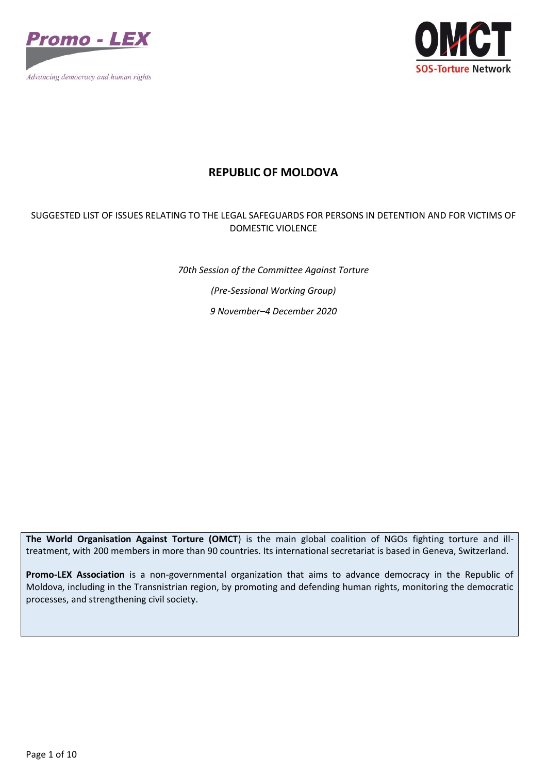



## **REPUBLIC OF MOLDOVA**

## SUGGESTED LIST OF ISSUES RELATING TO THE LEGAL SAFEGUARDS FOR PERSONS IN DETENTION AND FOR VICTIMS OF DOMESTIC VIOLENCE

*70th Session of the Committee Against Torture (Pre-Sessional Working Group) 9 November–4 December 2020*

**The World Organisation Against Torture (OMCT**) is the main global coalition of NGOs fighting torture and illtreatment, with 200 members in more than 90 countries. Its international secretariat is based in Geneva, Switzerland.

**Promo-LEX Association** is a non-governmental organization that aims to advance democracy in the Republic of Moldova, including in the Transnistrian region, by promoting and defending human rights, monitoring the democratic processes, and strengthening civil society.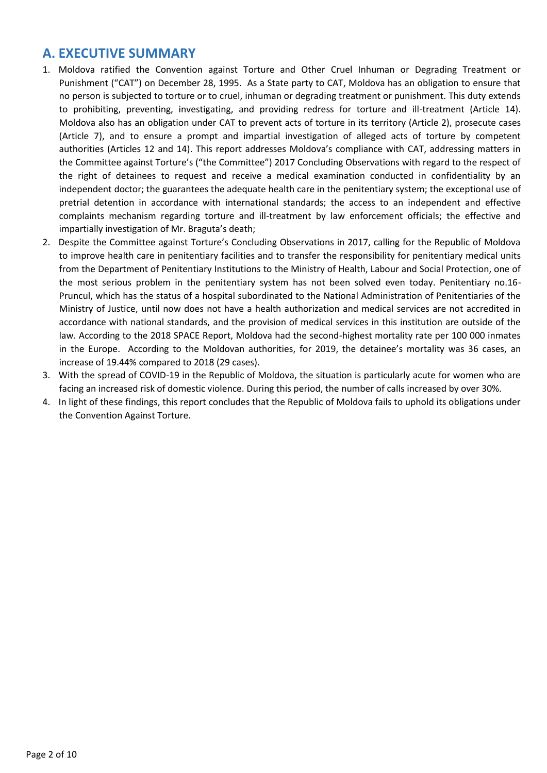# **A. EXECUTIVE SUMMARY**

- 1. Moldova ratified the Convention against Torture and Other Cruel Inhuman or Degrading Treatment or Punishment ("CAT") on December 28, 1995. As a State party to CAT, Moldova has an obligation to ensure that no person is subjected to torture or to cruel, inhuman or degrading treatment or punishment. This duty extends to prohibiting, preventing, investigating, and providing redress for torture and ill-treatment (Article 14). Moldova also has an obligation under CAT to prevent acts of torture in its territory (Article 2), prosecute cases (Article 7), and to ensure a prompt and impartial investigation of alleged acts of torture by competent authorities (Articles 12 and 14). This report addresses Moldova's compliance with CAT, addressing matters in the Committee against Torture's ("the Committee") 2017 Concluding Observations with regard to the respect of the right of detainees to request and receive a medical examination conducted in confidentiality by an independent doctor; the guarantees the adequate health care in the penitentiary system; the exceptional use of pretrial detention in accordance with international standards; the access to an independent and effective complaints mechanism regarding torture and ill-treatment by law enforcement officials; the effective and impartially investigation of Mr. Braguta's death;
- 2. Despite the Committee against Torture's Concluding Observations in 2017, calling for the Republic of Moldova to improve health care in penitentiary facilities and to transfer the responsibility for penitentiary medical units from the Department of Penitentiary Institutions to the Ministry of Health, Labour and Social Protection, one of the most serious problem in the penitentiary system has not been solved even today. Penitentiary no.16- Pruncul, which has the status of a hospital subordinated to the National Administration of Penitentiaries of the Ministry of Justice, until now does not have a health authorization and medical services are not accredited in accordance with national standards, and the provision of medical services in this institution are outside of the law. According to the 2018 SPACE Report, Moldova had the second-highest mortality rate per 100 000 inmates in the Europe. According to the Moldovan authorities, for 2019, the detainee's mortality was 36 cases, an increase of 19.44% compared to 2018 (29 cases).
- 3. With the spread of COVID-19 in the Republic of Moldova, the situation is particularly acute for women who are facing an increased risk of domestic violence. During this period, the number of calls increased by over 30%.
- 4. In light of these findings, this report concludes that the Republic of Moldova fails to uphold its obligations under the Convention Against Torture.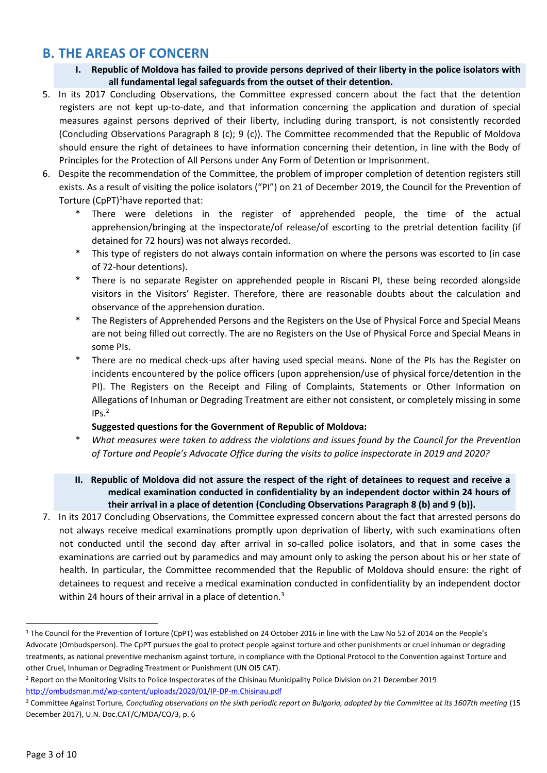# **B. THE AREAS OF CONCERN**

- **I. Republic of Moldova has failed to provide persons deprived of their liberty in the police isolators with all fundamental legal safeguards from the outset of their detention.**
- 5. In its 2017 Concluding Observations, the Committee expressed concern about the fact that the detention registers are not kept up-to-date, and that information concerning the application and duration of special measures against persons deprived of their liberty, including during transport, is not consistently recorded (Concluding Observations Paragraph 8 (c); 9 (c)). The Committee recommended that the Republic of Moldova should ensure the right of detainees to have information concerning their detention, in line with the Body of Principles for the Protection of All Persons under Any Form of Detention or Imprisonment.
- 6. Despite the recommendation of the Committee, the problem of improper completion of detention registers still exists. As a result of visiting the police isolators ("PI") on 21 of December 2019, the Council for the Prevention of Torture (CpPT)<sup>1</sup>have reported that:
	- There were deletions in the register of apprehended people, the time of the actual apprehension/bringing at the inspectorate/of release/of escorting to the pretrial detention facility (if detained for 72 hours) was not always recorded.
	- \* This type of registers do not always contain information on where the persons was escorted to (in case of 72-hour detentions).
	- There is no separate Register on apprehended people in Riscani PI, these being recorded alongside visitors in the Visitors' Register. Therefore, there are reasonable doubts about the calculation and observance of the apprehension duration.
	- The Registers of Apprehended Persons and the Registers on the Use of Physical Force and Special Means are not being filled out correctly. The are no Registers on the Use of Physical Force and Special Means in some PIs.
	- There are no medical check-ups after having used special means. None of the PIs has the Register on incidents encountered by the police officers (upon apprehension/use of physical force/detention in the PI). The Registers on the Receipt and Filing of Complaints, Statements or Other Information on Allegations of Inhuman or Degrading Treatment are either not consistent, or completely missing in some  $IPs.<sup>2</sup>$

### **Suggested questions for the Government of Republic of Moldova:**

- \* *What measures were taken to address the violations and issues found by the Council for the Prevention of Torture and People's Advocate Office during the visits to police inspectorate in 2019 and 2020?*
- **II. Republic of Moldova did not assure the respect of the right of detainees to request and receive a medical examination conducted in confidentiality by an independent doctor within 24 hours of their arrival in a place of detention (Concluding Observations Paragraph 8 (b) and 9 (b)).**
- 7. In its 2017 Concluding Observations, the Committee expressed concern about the fact that arrested persons do not always receive medical examinations promptly upon deprivation of liberty, with such examinations often not conducted until the second day after arrival in so-called police isolators, and that in some cases the examinations are carried out by paramedics and may amount only to asking the person about his or her state of health. In particular, the Committee recommended that the Republic of Moldova should ensure: the right of detainees to request and receive a medical examination conducted in confidentiality by an independent doctor within 24 hours of their arrival in a place of detention.<sup>3</sup>

<sup>1</sup> The Council for the Prevention of Torture (CpPT) was established on 24 October 2016 in line with the Law No 52 of 2014 on the People's Advocate (Ombudsperson). The CpPT pursues the goal to protect people against torture and other punishments or cruel inhuman or degrading treatments, as national preventive mechanism against torture, in compliance with the Optional Protocol to the Convention against Torture and other Cruel, Inhuman or Degrading Treatment or Punishment (UN OI5 CAT).

<sup>2</sup> Report on the Monitoring Visits to Police Inspectorates of the Chisinau Municipality Police Division on 21 December 2019 <http://ombudsman.md/wp-content/uploads/2020/01/IP-DP-m.Chisinau.pdf>

<sup>&</sup>lt;sup>3</sup> Committee Against Torture, Concluding observations on the sixth periodic report on Bulgaria, adopted by the Committee at its 1607th meeting (15 December 2017), U.N. Doc.CAT/C/MDA/CO/3, p. 6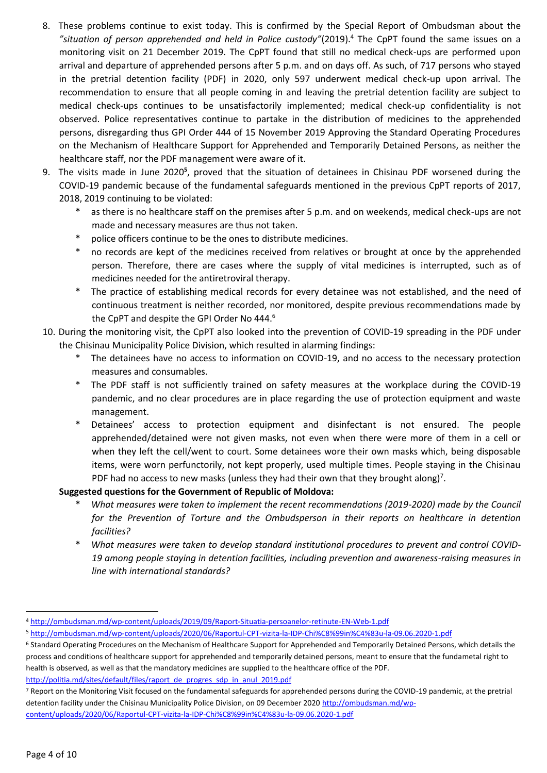- 8. These problems continue to exist today. This is confirmed by the Special Report of Ombudsman about the *"situation of person apprehended and held in Police custody"*(2019).<sup>4</sup> The CpPT found the same issues on a monitoring visit on 21 December 2019. The CpPT found that still no medical check-ups are performed upon arrival and departure of apprehended persons after 5 p.m. and on days off. As such, of 717 persons who stayed in the pretrial detention facility (PDF) in 2020, only 597 underwent medical check-up upon arrival. The recommendation to ensure that all people coming in and leaving the pretrial detention facility are subject to medical check-ups continues to be unsatisfactorily implemented; medical check-up confidentiality is not observed. Police representatives continue to partake in the distribution of medicines to the apprehended persons, disregarding thus GPI Order 444 of 15 November 2019 Approving the Standard Operating Procedures on the Mechanism of Healthcare Support for Apprehended and Temporarily Detained Persons, as neither the healthcare staff, nor the PDF management were aware of it.
- 9. The visits made in June 2020<sup>5</sup>, proved that the situation of detainees in Chisinau PDF worsened during the COVID-19 pandemic because of the fundamental safeguards mentioned in the previous CpPT reports of 2017, 2018, 2019 continuing to be violated:
	- as there is no healthcare staff on the premises after 5 p.m. and on weekends, medical check-ups are not made and necessary measures are thus not taken.
	- police officers continue to be the ones to distribute medicines.
	- no records are kept of the medicines received from relatives or brought at once by the apprehended person. Therefore, there are cases where the supply of vital medicines is interrupted, such as of medicines needed for the antiretroviral therapy.
	- \* The practice of establishing medical records for every detainee was not established, and the need of continuous treatment is neither recorded, nor monitored, despite previous recommendations made by the CpPT and despite the GPI Order No 444.<sup>6</sup>
- 10. During the monitoring visit, the CpPT also looked into the prevention of COVID-19 spreading in the PDF under the Chisinau Municipality Police Division, which resulted in alarming findings:
	- The detainees have no access to information on COVID-19, and no access to the necessary protection measures and consumables.
	- \* The PDF staff is not sufficiently trained on safety measures at the workplace during the COVID-19 pandemic, and no clear procedures are in place regarding the use of protection equipment and waste management.
	- \* Detainees' access to protection equipment and disinfectant is not ensured. The people apprehended/detained were not given masks, not even when there were more of them in a cell or when they left the cell/went to court. Some detainees wore their own masks which, being disposable items, were worn perfunctorily, not kept properly, used multiple times. People staying in the Chisinau PDF had no access to new masks (unless they had their own that they brought along)<sup>7</sup>.

### **Suggested questions for the Government of Republic of Moldova:**

- \* *What measures were taken to implement the recent recommendations (2019-2020) made by the Council for the Prevention of Torture and the Ombudsperson in their reports on healthcare in detention facilities?*
- What measures were taken to develop standard institutional procedures to prevent and control COVID-*19 among people staying in detention facilities, including prevention and awareness-raising measures in line with international standards?*

[http://politia.md/sites/default/files/raport\\_de\\_progres\\_sdp\\_in\\_anul\\_2019.pdf](http://politia.md/sites/default/files/raport_de_progres_sdp_in_anul_2019.pdf)

<sup>4</sup> <http://ombudsman.md/wp-content/uploads/2019/09/Raport-Situatia-persoanelor-retinute-EN-Web-1.pdf>

<sup>5</sup> <http://ombudsman.md/wp-content/uploads/2020/06/Raportul-CPT-vizita-la-IDP-Chi%C8%99in%C4%83u-la-09.06.2020-1.pdf>

<sup>6</sup> Standard Operating Procedures on the Mechanism of Healthcare Support for Apprehended and Temporarily Detained Persons, which details the process and conditions of healthcare support for apprehended and temporarily detained persons, meant to ensure that the fundametal right to health is observed, as well as that the mandatory medicines are supplied to the healthcare office of the PDF.

<sup>7</sup> Report on the Monitoring Visit focused on the fundamental safeguards for apprehended persons during the COVID-19 pandemic, at the pretrial detention facility under the Chisinau Municipality Police Division, on 09 December 202[0 http://ombudsman.md/wp](http://ombudsman.md/wp-content/uploads/2020/06/Raportul-CPT-vizita-la-IDP-Chi%C8%99in%C4%83u-la-09.06.2020-1.pdf)[content/uploads/2020/06/Raportul-CPT-vizita-la-IDP-Chi%C8%99in%C4%83u-la-09.06.2020-1.pdf](http://ombudsman.md/wp-content/uploads/2020/06/Raportul-CPT-vizita-la-IDP-Chi%C8%99in%C4%83u-la-09.06.2020-1.pdf)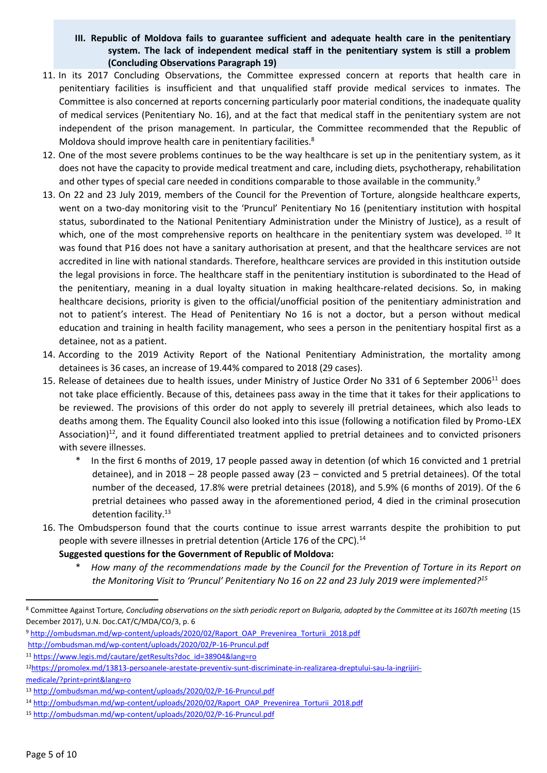### **III. Republic of Moldova fails to guarantee sufficient and adequate health care in the penitentiary system. The lack of independent medical staff in the penitentiary system is still a problem (Concluding Observations Paragraph 19)**

- 11. In its 2017 Concluding Observations, the Committee expressed concern at reports that health care in penitentiary facilities is insufficient and that unqualified staff provide medical services to inmates. The Committee is also concerned at reports concerning particularly poor material conditions, the inadequate quality of medical services (Penitentiary No. 16), and at the fact that medical staff in the penitentiary system are not independent of the prison management. In particular, the Committee recommended that the Republic of Moldova should improve health care in penitentiary facilities.<sup>8</sup>
- 12. One of the most severe problems continues to be the way healthcare is set up in the penitentiary system, as it does not have the capacity to provide medical treatment and care, including diets, psychotherapy, rehabilitation and other types of special care needed in conditions comparable to those available in the community.<sup>9</sup>
- 13. On 22 and 23 July 2019, members of the Council for the Prevention of Torture, alongside healthcare experts, went on a two-day monitoring visit to the 'Pruncul' Penitentiary No 16 (penitentiary institution with hospital status, subordinated to the National Penitentiary Administration under the Ministry of Justice), as a result of which, one of the most comprehensive reports on healthcare in the penitentiary system was developed. <sup>10</sup> It was found that P16 does not have a sanitary authorisation at present, and that the healthcare services are not accredited in line with national standards. Therefore, healthcare services are provided in this institution outside the legal provisions in force. The healthcare staff in the penitentiary institution is subordinated to the Head of the penitentiary, meaning in a dual loyalty situation in making healthcare-related decisions. So, in making healthcare decisions, priority is given to the official/unofficial position of the penitentiary administration and not to patient's interest. The Head of Penitentiary No 16 is not a doctor, but a person without medical education and training in health facility management, who sees a person in the penitentiary hospital first as a detainee, not as a patient.
- 14. According to the 2019 Activity Report of the National Penitentiary Administration, the mortality among detainees is 36 cases, an increase of 19.44% compared to 2018 (29 cases).
- 15. Release of detainees due to health issues, under Ministry of Justice Order No 331 of 6 September 2006<sup>11</sup> does not take place efficiently. Because of this, detainees pass away in the time that it takes for their applications to be reviewed. The provisions of this order do not apply to severely ill pretrial detainees, which also leads to deaths among them. The Equality Council also looked into this issue (following a notification filed by Promo-LEX Association) $12$ , and it found differentiated treatment applied to pretrial detainees and to convicted prisoners with severe illnesses.
	- \* In the first 6 months of 2019, 17 people passed away in detention (of which 16 convicted and 1 pretrial detainee), and in 2018 – 28 people passed away (23 – convicted and 5 pretrial detainees). Of the total number of the deceased, 17.8% were pretrial detainees (2018), and 5.9% (6 months of 2019). Of the 6 pretrial detainees who passed away in the aforementioned period, 4 died in the criminal prosecution detention facility.<sup>13</sup>
- 16. The Ombudsperson found that the courts continue to issue arrest warrants despite the prohibition to put people with severe illnesses in pretrial detention (Article 176 of the CPC).<sup>14</sup>

**Suggested questions for the Government of Republic of Moldova:**

\* *How many of the recommendations made by the Council for the Prevention of Torture in its Report on the Monitoring Visit to 'Pruncul' Penitentiary No 16 on 22 and 23 July 2019 were implemented?<sup>15</sup>*

<sup>8</sup> Committee Against Torture*, Concluding observations on the sixth periodic report on Bulgaria, adopted by the Committee at its 1607th meeting* (15 December 2017), U.N. Doc.CAT/C/MDA/CO/3, p. 6

<sup>9</sup> [http://ombudsman.md/wp-content/uploads/2020/02/Raport\\_OAP\\_Prevenirea\\_Torturii\\_2018.pdf](http://ombudsman.md/wp-content/uploads/2020/02/Raport_OAP_Prevenirea_Torturii_2018.pdf)

<http://ombudsman.md/wp-content/uploads/2020/02/P-16-Pruncul.pdf>

<sup>11</sup> [https://www.legis.md/cautare/getResults?doc\\_id=38904&lang=ro](https://www.legis.md/cautare/getResults?doc_id=38904&amp;lang=ro)

<sup>12</sup>[https://promolex.md/13813-persoanele-arestate-preventiv-sunt-discriminate-in-realizarea-dreptului-sau-la-ingrijiri](https://promolex.md/13813-persoanele-arestate-preventiv-sunt-discriminate-in-realizarea-dreptului-sau-la-ingrijiri-medicale/?print=print&amp;lang=ro)[medicale/?print=print&lang=ro](https://promolex.md/13813-persoanele-arestate-preventiv-sunt-discriminate-in-realizarea-dreptului-sau-la-ingrijiri-medicale/?print=print&amp;lang=ro)

<sup>13</sup> <http://ombudsman.md/wp-content/uploads/2020/02/P-16-Pruncul.pdf>

<sup>14</sup> [http://ombudsman.md/wp-content/uploads/2020/02/Raport\\_OAP\\_Prevenirea\\_Torturii\\_2018.pdf](http://ombudsman.md/wp-content/uploads/2020/02/Raport_OAP_Prevenirea_Torturii_2018.pdf)

<sup>15</sup> <http://ombudsman.md/wp-content/uploads/2020/02/P-16-Pruncul.pdf>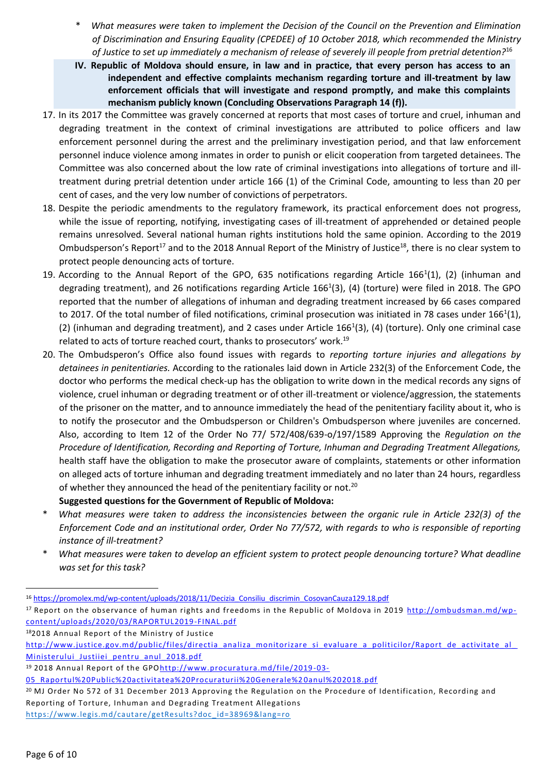- \* *What measures were taken to implement the Decision of the Council on the Prevention and Elimination of Discrimination and Ensuring Equality (CPEDEE) of 10 October 2018, which recommended the Ministry of Justice to set up immediately a mechanism of release of severely ill people from pretrial detention?*<sup>16</sup>
- **IV. Republic of Moldova should ensure, in law and in practice, that every person has access to an independent and effective complaints mechanism regarding torture and ill-treatment by law enforcement officials that will investigate and respond promptly, and make this complaints mechanism publicly known (Concluding Observations Paragraph 14 (f)).**
- 17. In its 2017 the Committee was gravely concerned at reports that most cases of torture and cruel, inhuman and degrading treatment in the context of criminal investigations are attributed to police officers and law enforcement personnel during the arrest and the preliminary investigation period, and that law enforcement personnel induce violence among inmates in order to punish or elicit cooperation from targeted detainees. The Committee was also concerned about the low rate of criminal investigations into allegations of torture and illtreatment during pretrial detention under article 166 (1) of the Criminal Code, amounting to less than 20 per cent of cases, and the very low number of convictions of perpetrators.
- 18. Despite the periodic amendments to the regulatory framework, its practical enforcement does not progress, while the issue of reporting, notifying, investigating cases of ill-treatment of apprehended or detained people remains unresolved. Several national human rights institutions hold the same opinion. According to the 2019 Ombudsperson's Report<sup>17</sup> and to the 2018 Annual Report of the Ministry of Justice<sup>18</sup>, there is no clear system to protect people denouncing acts of torture.
- 19. According to the Annual Report of the GPO, 635 notifications regarding Article 166<sup>1</sup>(1), (2) (inhuman and degrading treatment), and 26 notifications regarding Article 166<sup>1</sup>(3), (4) (torture) were filed in 2018. The GPO reported that the number of allegations of inhuman and degrading treatment increased by 66 cases compared to 2017. Of the total number of filed notifications, criminal prosecution was initiated in 78 cases under 166<sup>1</sup>(1), (2) (inhuman and degrading treatment), and 2 cases under Article  $166<sup>1</sup>(3)$ , (4) (torture). Only one criminal case related to acts of torture reached court, thanks to prosecutors' work.<sup>19</sup>
- 20. The Ombudsperon's Office also found issues with regards to *reporting torture injuries and allegations by detainees in penitentiaries.* According to the rationales laid down in Article 232(3) of the Enforcement Code, the doctor who performs the medical check-up has the obligation to write down in the medical records any signs of violence, cruel inhuman or degrading treatment or of other ill-treatment or violence/aggression, the statements of the prisoner on the matter, and to announce immediately the head of the penitentiary facility about it, who is to notify the prosecutor and the Ombudsperson or Children's Ombudsperson where juveniles are concerned. Also, according to Item 12 of the Order No 77/ 572/408/639-o/197/1589 Approving the *Regulation on the Procedure of Identification, Recording and Reporting of Torture, Inhuman and Degrading Treatment Allegations,* health staff have the obligation to make the prosecutor aware of complaints, statements or other information on alleged acts of torture inhuman and degrading treatment immediately and no later than 24 hours, regardless of whether they announced the head of the penitentiary facility or not.<sup>20</sup>
- **Suggested questions for the Government of Republic of Moldova:**
- \* *What measures were taken to address the inconsistencies between the organic rule in Article 232(3) of the Enforcement Code and an institutional order, Order No 77/572, with regards to who is responsible of reporting instance of ill-treatment?*
- \* *What measures were taken to develop an efficient system to protect people denouncing torture? What deadline was set for this task?*

<sup>18</sup>2018 Annual Report of the Ministry of Justic[e](http://www.justice.gov.md/public/files/directia_analiza_monitorizare_si_evaluare_a_politicilor/Raport_de_activitate_al_Ministerului_Justiiei_pentru_anul_2018.pdf)

[https://www.legis.md/cautare/getResults?doc\\_id=38969&lang=ro](https://www.legis.md/cautare/getResults?doc_id=38969&lang=ro)

 $\overline{a}$ <sup>16</sup> [https://promolex.md/wp-content/uploads/2018/11/Decizia\\_Consiliu\\_discrimin\\_CosovanCauza129.18.pdf](https://promolex.md/wp-content/uploads/2018/11/Decizia_Consiliu_discrimin_CosovanCauza129.18.pdf)

<sup>17</sup> Report on the observance of human rights and freedoms in the Republic of Moldova in 2019 [http://ombudsman.md/wp](http://ombudsman.md/wp-content/uploads/2020/03/RAPORTUL2019-FINAL.pdf)[content/uploads/2020/03/RAPORTUL2019-FINAL.pdf](http://ombudsman.md/wp-content/uploads/2020/03/RAPORTUL2019-FINAL.pdf)

[http://www.justice.gov.md/public/files/directia\\_analiza\\_monitorizare\\_si\\_evaluare\\_a\\_politicilor/Raport\\_de\\_activitate\\_al\\_](http://www.justice.gov.md/public/files/directia_analiza_monitorizare_si_evaluare_a_politicilor/Raport_de_activitate_al_Ministerului_Justiiei_pentru_anul_2018.pdf) Ministerului Justiiei pentru anul 2018.pdf

<sup>19 2018</sup> Annual Report of the GP[Ohttp://www.procuratura.md/file/2019](http://www.procuratura.md/file/2019-03-05_Raportul%20Public%20activitatea%20Procuraturii%20Generale%20anul%202018.pdf)-03-

[<sup>05</sup>\\_Raportul%20Public%20activitatea%20Procuraturii%20Generale%2](http://www.procuratura.md/file/2019-03-05_Raportul%20Public%20activitatea%20Procuraturii%20Generale%20anul%202018.pdf) 0anul%202018.pdf

<sup>20</sup> MJ Order No 572 of 31 December 2013 Approving the Regulation on the Procedure of Identification, Recording and Reporting of Torture, Inhuman and Degrading Treatment Allegations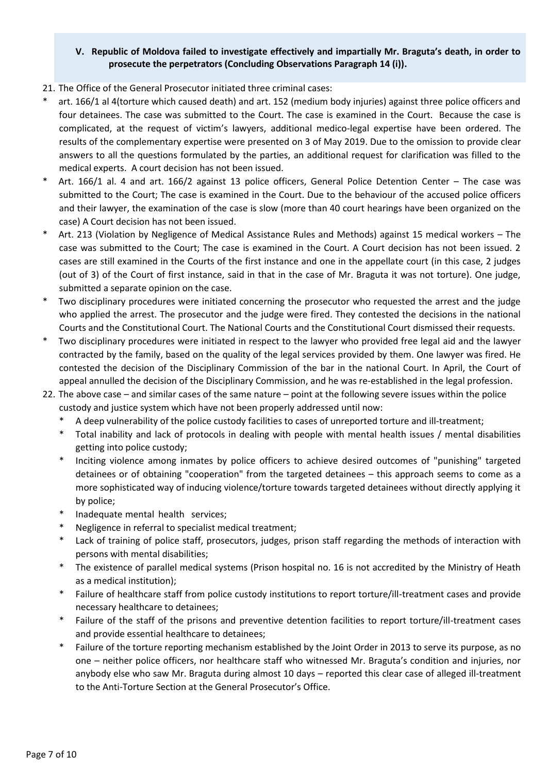### **V. Republic of Moldova failed to investigate effectively and impartially Mr. Braguta's death, in order to prosecute the perpetrators (Concluding Observations Paragraph 14 (i)).**

- 21. The Office of the General Prosecutor initiated three criminal cases:
- art. 166/1 al 4(torture which caused death) and art. 152 (medium body injuries) against three police officers and four detainees. The case was submitted to the Court. The case is examined in the Court. Because the case is complicated, at the request of victim's lawyers, additional medico-legal expertise have been ordered. The results of the complementary expertise were presented on 3 of May 2019. Due to the omission to provide clear answers to all the questions formulated by the parties, an additional request for clarification was filled to the medical experts. A court decision has not been issued.
- Art. 166/1 al. 4 and art. 166/2 against 13 police officers, General Police Detention Center The case was submitted to the Court; The case is examined in the Court. Due to the behaviour of the accused police officers and their lawyer, the examination of the case is slow (more than 40 court hearings have been organized on the case) A Court decision has not been issued.
- Art. 213 (Violation by Negligence of Medical Assistance Rules and Methods) against 15 medical workers The case was submitted to the Court; The case is examined in the Court. A Court decision has not been issued. 2 cases are still examined in the Courts of the first instance and one in the appellate court (in this case, 2 judges (out of 3) of the Court of first instance, said in that in the case of Mr. Braguta it was not torture). One judge, submitted a separate opinion on the case.
- Two disciplinary procedures were initiated concerning the prosecutor who requested the arrest and the judge who applied the arrest. The prosecutor and the judge were fired. They contested the decisions in the national Courts and the Constitutional Court. The National Courts and the Constitutional Court dismissed their requests.
- \* Two disciplinary procedures were initiated in respect to the lawyer who provided free legal aid and the lawyer contracted by the family, based on the quality of the legal services provided by them. One lawyer was fired. He contested the decision of the Disciplinary Commission of the bar in the national Court. In April, the Court of appeal annulled the decision of the Disciplinary Commission, and he was re-established in the legal profession.
- 22. The above case and similar cases of the same nature point at the following severe issues within the police custody and justice system which have not been properly addressed until now:
	- A deep vulnerability of the police custody facilities to cases of unreported torture and ill-treatment;
	- \* Total inability and lack of protocols in dealing with people with mental health issues / mental disabilities getting into police custody;
	- Inciting violence among inmates by police officers to achieve desired outcomes of "punishing" targeted detainees or of obtaining "cooperation" from the targeted detainees – this approach seems to come as a more sophisticated way of inducing violence/torture towards targeted detainees without directly applying it by police;
	- Inadequate mental health services;
	- Negligence in referral to specialist medical treatment;
	- Lack of training of police staff, prosecutors, judges, prison staff regarding the methods of interaction with persons with mental disabilities;
	- The existence of parallel medical systems (Prison hospital no. 16 is not accredited by the Ministry of Heath as a medical institution);
	- Failure of healthcare staff from police custody institutions to report torture/ill-treatment cases and provide necessary healthcare to detainees;
	- Failure of the staff of the prisons and preventive detention facilities to report torture/ill-treatment cases and provide essential healthcare to detainees;
	- Failure of the torture reporting mechanism established by the Joint Order in 2013 to serve its purpose, as no one – neither police officers, nor healthcare staff who witnessed Mr. Braguta's condition and injuries, nor anybody else who saw Mr. Braguta during almost 10 days – reported this clear case of alleged ill-treatment to the Anti-Torture Section at the General Prosecutor's Office.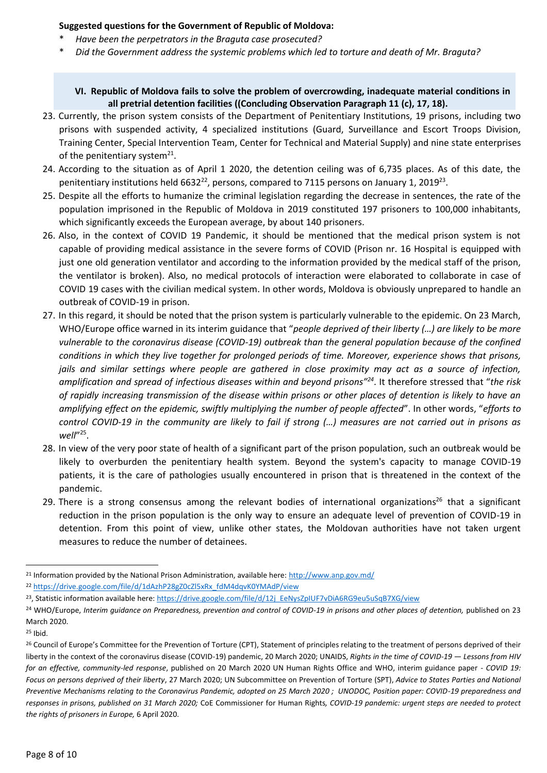#### **Suggested questions for the Government of Republic of Moldova:**

- *Have been the perpetrators in the Braguta case prosecuted?*
- \* *Did the Government address the systemic problems which led to torture and death of Mr. Braguta?*

#### **VI. Republic of Moldova fails to solve the problem of overcrowding, inadequate material conditions in all pretrial detention facilities ((Concluding Observation Paragraph 11 (c), 17, 18).**

- 23. Currently, the prison system consists of the Department of Penitentiary Institutions, 19 prisons, including two prisons with suspended activity, 4 specialized institutions (Guard, Surveillance and Escort Troops Division, Training Center, Special Intervention Team, Center for Technical and Material Supply) and nine state enterprises of the penitentiary system<sup>21</sup>.
- 24. According to the situation as of April 1 2020, the detention ceiling was of 6,735 places. As of this date, the penitentiary institutions held 6632<sup>22</sup>, persons, compared to 7115 persons on January 1, 2019<sup>23</sup>.
- 25. Despite all the efforts to humanize the criminal legislation regarding the decrease in sentences, the rate of the population imprisoned in the Republic of Moldova in 2019 constituted 197 prisoners to 100,000 inhabitants, which significantly exceeds the European average, by about 140 prisoners.
- 26. Also, in the context of COVID 19 Pandemic, it should be mentioned that the medical prison system is not capable of providing medical assistance in the severe forms of COVID (Prison nr. 16 Hospital is equipped with just one old generation ventilator and according to the information provided by the medical staff of the prison, the ventilator is broken). Also, no medical protocols of interaction were elaborated to collaborate in case of COVID 19 cases with the civilian medical system. In other words, Moldova is obviously unprepared to handle an outbreak of COVID-19 in prison.
- 27. In this regard, it should be noted that the prison system is particularly vulnerable to the epidemic. On 23 March, WHO/Europe office warned in its interim guidance that "*people deprived of their liberty (…) are likely to be more vulnerable to the coronavirus disease (COVID-19) outbreak than the general population because of the confined conditions in which they live together for prolonged periods of time. Moreover, experience shows that prisons, jails and similar settings where people are gathered in close proximity may act as a source of infection, amplification and spread of infectious diseases within and beyond prisons"<sup>24</sup>* . It therefore stressed that "*the risk of rapidly increasing transmission of the disease within prisons or other places of detention is likely to have an amplifying effect on the epidemic, swiftly multiplying the number of people affected*". In other words, "*efforts to control COVID-19 in the community are likely to fail if strong (…) measures are not carried out in prisons as well*" 25 .
- 28. In view of the very poor state of health of a significant part of the prison population, such an outbreak would be likely to overburden the penitentiary health system. Beyond the system's capacity to manage COVID-19 patients, it is the care of pathologies usually encountered in prison that is threatened in the context of the pandemic.
- 29. There is a strong consensus among the relevant bodies of international organizations<sup>26</sup> that a significant reduction in the prison population is the only way to ensure an adequate level of prevention of COVID-19 in detention. From this point of view, unlike other states, the Moldovan authorities have not taken urgent measures to reduce the number of detainees.

<sup>21</sup> Information provided by the National Prison Administration, available here[: http://www.anp.gov.md/](http://www.anp.gov.md/) <sup>22</sup> [https://drive.google.com/file/d/1dAzhP28gZ0cZl5xRx\\_fdM4dqvK0YMAdP/view](https://drive.google.com/file/d/1dAzhP28gZ0cZl5xRx_fdM4dqvK0YMAdP/view)

<sup>&</sup>lt;sup>23</sup>, Statistic information available here: [https://drive.google.com/file/d/12j\\_EeNysZpIUF7vDiA6RG9eu5uSqB7XG/view](https://drive.google.com/file/d/12j_EeNysZpIUF7vDiA6RG9eu5uSqB7XG/view)

<sup>&</sup>lt;sup>24</sup> WHO/Europe, Interim guidance on Preparedness, prevention and control of COVID-19 in prisons and other places of detention, published on 23 March 2020.

<sup>25</sup> Ibid.

<sup>&</sup>lt;sup>26</sup> Council of Europe's Committee for the Prevention of Torture (CPT), Statement of principles relating to the treatment of persons deprived of their liberty in the context of the coronavirus disease (COVID-19) pandemic, 20 March 2020; UNAIDS, *Rights in the time of COVID-19 — Lessons from HIV for an effective, community-led response*, published on 20 March 2020 UN Human Rights Office and WHO, interim guidance paper - *COVID 19: Focus on persons deprived of their liberty*, 27 March 2020; UN Subcommittee on Prevention of Torture (SPT), *Advice to States Parties and National Preventive Mechanisms relating to the Coronavirus Pandemic, adopted on 25 March 2020 ; UNODOC, Position paper: COVID-19 preparedness and responses in prisons, published on 31 March 2020;* CoE Commissioner for Human Rights*, COVID-19 pandemic: urgent steps are needed to protect the rights of prisoners in Europe,* 6 April 2020.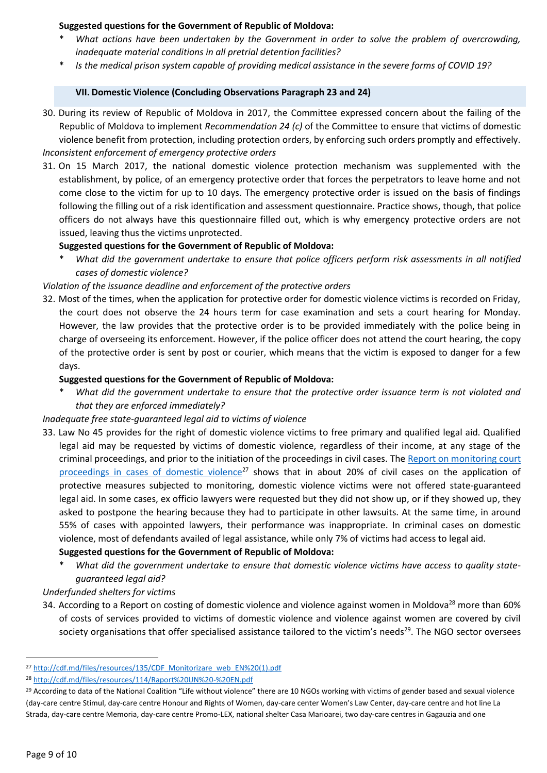### **Suggested questions for the Government of Republic of Moldova:**

- \* *What actions have been undertaken by the Government in order to solve the problem of overcrowding, inadequate material conditions in all pretrial detention facilities?*
- \* *Is the medical prison system capable of providing medical assistance in the severe forms of COVID 19?*

#### **VII. Domestic Violence (Concluding Observations Paragraph 23 and 24)**

- 30. During its review of Republic of Moldova in 2017, the Committee expressed concern about the failing of the Republic of Moldova to implement *Recommendation 24 (c)* of the Committee to ensure that victims of domestic violence benefit from protection, including protection orders, by enforcing such orders promptly and effectively. *Inconsistent enforcement of emergency protective orders*
- 31. On 15 March 2017, the national domestic violence protection mechanism was supplemented with the establishment, by police, of an emergency protective order that forces the perpetrators to leave home and not come close to the victim for up to 10 days. The emergency protective order is issued on the basis of findings following the filling out of a risk identification and assessment questionnaire. Practice shows, though, that police officers do not always have this questionnaire filled out, which is why emergency protective orders are not issued, leaving thus the victims unprotected.

#### **Suggested questions for the Government of Republic of Moldova:**

\* *What did the government undertake to ensure that police officers perform risk assessments in all notified cases of domestic violence?*

#### *Violation of the issuance deadline and enforcement of the protective orders*

32. Most of the times, when the application for protective order for domestic violence victims is recorded on Friday, the court does not observe the 24 hours term for case examination and sets a court hearing for Monday. However, the law provides that the protective order is to be provided immediately with the police being in charge of overseeing its enforcement. However, if the police officer does not attend the court hearing, the copy of the protective order is sent by post or courier, which means that the victim is exposed to danger for a few days.

#### **Suggested questions for the Government of Republic of Moldova:**

\* *What did the government undertake to ensure that the protective order issuance term is not violated and that they are enforced immediately?*

#### *Inadequate free state-guaranteed legal aid to victims of violence*

33. Law No 45 provides for the right of domestic violence victims to free primary and qualified legal aid. Qualified legal aid may be requested by victims of domestic violence, regardless of their income, at any stage of the criminal proceedings, and prior to the initiation of the proceedings in civil cases. The [Report on monitoring court](http://cdf.md/files/resources/135/CDF_Monitorizare_web_EN%20(1).pdf)  [proceedings in cases of domestic violence](http://cdf.md/files/resources/135/CDF_Monitorizare_web_EN%20(1).pdf)<sup>27</sup> shows that in about 20% of civil cases on the application of protective measures subjected to monitoring, domestic violence victims were not offered state-guaranteed legal aid. In some cases, ex officio lawyers were requested but they did not show up, or if they showed up, they asked to postpone the hearing because they had to participate in other lawsuits. At the same time, in around 55% of cases with appointed lawyers, their performance was inappropriate. In criminal cases on domestic violence, most of defendants availed of legal assistance, while only 7% of victims had access to legal aid.

#### **Suggested questions for the Government of Republic of Moldova:**

What did the government undertake to ensure that domestic violence victims have access to quality state*guaranteed legal aid?*

### *Underfunded shelters for victims*

34. According to a Report on costing of domestic violence and violence against women in Moldova<sup>28</sup> more than 60% of costs of services provided to victims of domestic violence and violence against women are covered by civil society organisations that offer specialised assistance tailored to the victim's needs<sup>29</sup>. The NGO sector oversees

<sup>27</sup> [http://cdf.md/files/resources/135/CDF\\_Monitorizare\\_web\\_EN%20\(1\).pdf](http://cdf.md/files/resources/135/CDF_Monitorizare_web_EN%20(1).pdf)

<sup>28</sup> <http://cdf.md/files/resources/114/Raport%20UN%20-%20EN.pdf>

<sup>&</sup>lt;sup>29</sup> According to data of the National Coalition "Life without violence" there are 10 NGOs working with victims of gender based and sexual violence (day-care centre Stimul, day-care centre Honour and Rights of Women, day-care center Women's Law Center, day-care centre and hot line La Strada, day-care centre Memoria, day-care centre Promo-LEX, national shelter Casa Marioarei, two day-care centres in Gagauzia and one